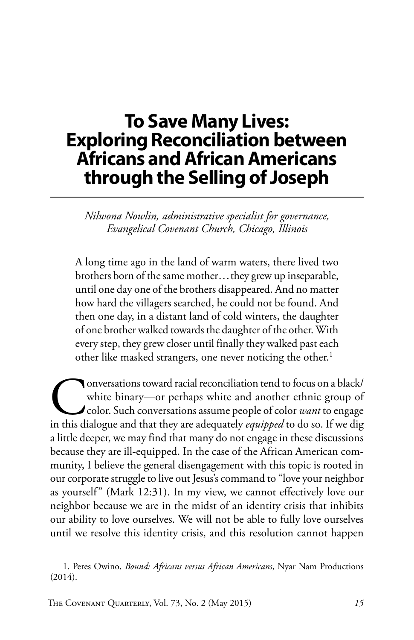# **To Save Many Lives: Exploring Reconciliation between Africans and African Americans through the Selling of Joseph**

*Nilwona Nowlin, administrative specialist for governance, Evangelical Covenant Church, Chicago, Illinois*

A long time ago in the land of warm waters, there lived two brothers born of the same mother...they grew up inseparable, until one day one of the brothers disappeared. And no matter how hard the villagers searched, he could not be found. And then one day, in a distant land of cold winters, the daughter of one brother walked towards the daughter of the other. With every step, they grew closer until finally they walked past each other like masked strangers, one never noticing the other.<sup>1</sup>

**Conversations toward racial reconciliation tend to focus on a black/** white binary—or perhaps white and another ethnic group of color. Such conversations assume people of color *want* to engage in this dialogue and that t white binary—or perhaps white and another ethnic group of color. Such conversations assume people of color *want* to engage a little deeper, we may find that many do not engage in these discussions because they are ill-equipped. In the case of the African American community, I believe the general disengagement with this topic is rooted in our corporate struggle to live out Jesus's command to "love your neighbor as yourself" (Mark 12:31). In my view, we cannot effectively love our neighbor because we are in the midst of an identity crisis that inhibits our ability to love ourselves. We will not be able to fully love ourselves until we resolve this identity crisis, and this resolution cannot happen

1. Peres Owino, *Bound: Africans versus African Americans*, Nyar Nam Productions (2014).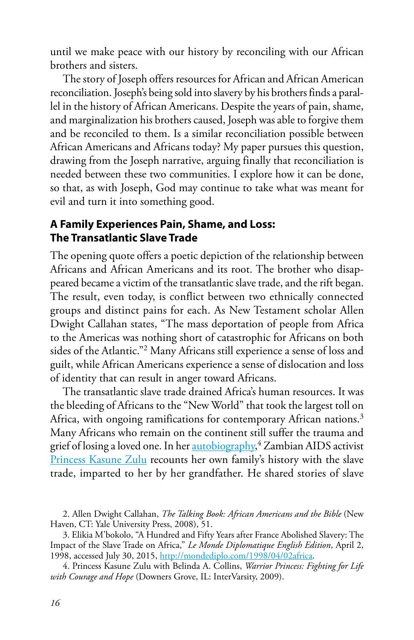until we make peace with our history by reconciling with our African brothers and sisters.

The story of Joseph offers resources for African and African American reconciliation. Joseph's being sold into slavery by his brothers finds a parallel in the history of African Americans. Despite the years of pain, shame, and marginalization his brothers caused, Joseph was able to forgive them and be reconciled to them. Is a similar reconciliation possible between African Americans and Africans today? My paper pursues this question, drawing from the Joseph narrative, arguing finally that reconciliation is needed between these two communities. I explore how it can be done, so that, as with Joseph, God may continue to take what was meant for evil and turn it into something good.

#### **A Family Experiences Pain, Shame, and Loss: The Transatlantic Slave Trade**

The opening quote offers a poetic depiction of the relationship between Africans and African Americans and its root. The brother who disappeared became a victim of the transatlantic slave trade, and the rift began. The result, even today, is conflict between two ethnically connected groups and distinct pains for each. As New Testament scholar Allen Dwight Callahan states, "The mass deportation of people from Africa to the Americas was nothing short of catastrophic for Africans on both sides of the Atlantic."2 Many Africans still experience a sense of loss and guilt, while African Americans experience a sense of dislocation and loss of identity that can result in anger toward Africans.

The transatlantic slave trade drained Africa's human resources. It was the bleeding of Africans to the "New World" that took the largest toll on Africa, with ongoing ramifications for contemporary African nations.<sup>3</sup> Many Africans who remain on the continent still suffer the trauma and grief of losing a loved one. In her **autobiography,<sup>4</sup> Zambian AIDS** activist [Princess Kasune Zulu](https://www.ivpress.com/cgi-ivpress/author.pl/author_id=6405) recounts her own family's history with the slave trade, imparted to her by her grandfather. He shared stories of slave

<sup>2.</sup> Allen Dwight Callahan, *The Talking Book: African Americans and the Bible* (New Haven, CT: Yale University Press, 2008), 51.

<sup>3.</sup> Elikia M'bokolo, "A Hundred and Fifty Years after France Abolished Slavery: The Impact of the Slave Trade on Africa," *Le Monde Diplomatique English Edition*, April 2, 1998, accessed July 30, 2015, [http://mondediplo.com/1998/04/02africa.](http://mondediplo.com/1998/04/02africa)

<sup>4.</sup> Princess Kasune Zulu with Belinda A. Collins, *Warrior Princess: Fighting for Life with Courage and Hope* (Downers Grove, IL: InterVarsity, 2009).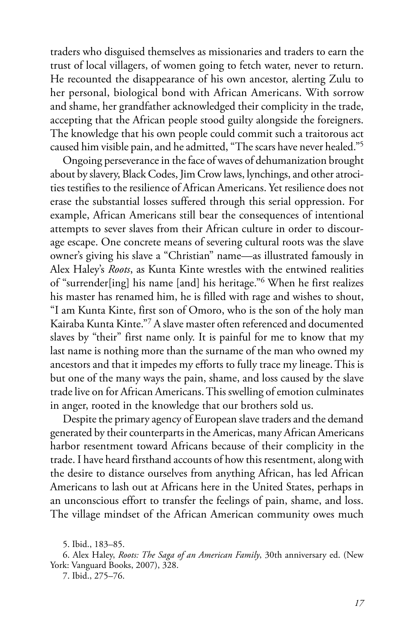traders who disguised themselves as missionaries and traders to earn the trust of local villagers, of women going to fetch water, never to return. He recounted the disappearance of his own ancestor, alerting Zulu to her personal, biological bond with African Americans. With sorrow and shame, her grandfather acknowledged their complicity in the trade, accepting that the African people stood guilty alongside the foreigners. The knowledge that his own people could commit such a traitorous act caused him visible pain, and he admitted, "The scars have never healed."5

Ongoing perseverance in the face of waves of dehumanization brought about by slavery, Black Codes, Jim Crow laws, lynchings, and other atrocities testifies to the resilience of African Americans. Yet resilience does not erase the substantial losses suffered through this serial oppression. For example, African Americans still bear the consequences of intentional attempts to sever slaves from their African culture in order to discourage escape. One concrete means of severing cultural roots was the slave owner's giving his slave a "Christian" name—as illustrated famously in Alex Haley's *Roots*, as Kunta Kinte wrestles with the entwined realities of "surrender[ing] his name [and] his heritage."6 When he first realizes his master has renamed him, he is filled with rage and wishes to shout, "I am Kunta Kinte, first son of Omoro, who is the son of the holy man Kairaba Kunta Kinte."7 A slave master often referenced and documented slaves by "their" first name only. It is painful for me to know that my last name is nothing more than the surname of the man who owned my ancestors and that it impedes my efforts to fully trace my lineage. This is but one of the many ways the pain, shame, and loss caused by the slave trade live on for African Americans. This swelling of emotion culminates in anger, rooted in the knowledge that our brothers sold us.

Despite the primary agency of European slave traders and the demand generated by their counterparts in the Americas, many African Americans harbor resentment toward Africans because of their complicity in the trade. I have heard firsthand accounts of how this resentment, along with the desire to distance ourselves from anything African, has led African Americans to lash out at Africans here in the United States, perhaps in an unconscious effort to transfer the feelings of pain, shame, and loss. The village mindset of the African American community owes much

<sup>5.</sup> Ibid., 183–85.

<sup>6.</sup> Alex Haley, *Roots: The Saga of an American Family*, 30th anniversary ed. (New York: Vanguard Books, 2007), 328.

<sup>7.</sup> Ibid., 275–76.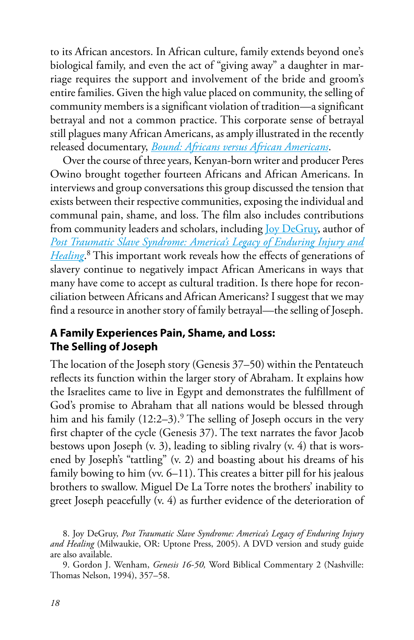to its African ancestors. In African culture, family extends beyond one's biological family, and even the act of "giving away" a daughter in marriage requires the support and involvement of the bride and groom's entire families. Given the high value placed on community, the selling of community members is a significant violation of tradition—a significant betrayal and not a common practice. This corporate sense of betrayal still plagues many African Americans, as amply illustrated in the recently released documentary, *[Bound: Africans versus African Americans](http://www.nyarnam.com/bound-africans-vs-african-americans.html)*.

Over the course of three years, Kenyan-born writer and producer Peres Owino brought together fourteen Africans and African Americans. In interviews and group conversations this group discussed the tension that exists between their respective communities, exposing the individual and communal pain, shame, and loss. The film also includes contributions from community leaders and scholars, including [Joy DeGruy,](http://joydegruy.com) author of *[Post Traumatic Slave Syndrome: America's Legacy of Enduring Injury and](http://www.amazon.com/Post-Traumatic-Slave-Syndrome-Americas/dp/0963401122) [Healing](http://www.amazon.com/Post-Traumatic-Slave-Syndrome-Americas/dp/0963401122)*. 8 This important work reveals how the effects of generations of slavery continue to negatively impact African Americans in ways that many have come to accept as cultural tradition. Is there hope for reconciliation between Africans and African Americans? I suggest that we may find a resource in another story of family betrayal—the selling of Joseph.

### **A Family Experiences Pain, Shame, and Loss: The Selling of Joseph**

The location of the Joseph story (Genesis 37–50) within the Pentateuch reflects its function within the larger story of Abraham. It explains how the Israelites came to live in Egypt and demonstrates the fulfillment of God's promise to Abraham that all nations would be blessed through him and his family  $(12:2-3)$ .<sup>9</sup> The selling of Joseph occurs in the very first chapter of the cycle (Genesis 37). The text narrates the favor Jacob bestows upon Joseph  $(v, 3)$ , leading to sibling rivalry  $(v, 4)$  that is worsened by Joseph's "tattling" (v. 2) and boasting about his dreams of his family bowing to him (vv. 6–11). This creates a bitter pill for his jealous brothers to swallow. Miguel De La Torre notes the brothers' inability to greet Joseph peacefully (v. 4) as further evidence of the deterioration of

<sup>8.</sup> Joy DeGruy, *Post Traumatic Slave Syndrome: America's Legacy of Enduring Injury and Healing* (Milwaukie, OR: Uptone Press, 2005). A DVD version and study guide are also available.

<sup>9.</sup> Gordon J. Wenham, *Genesis 16-50,* Word Biblical Commentary 2 (Nashville: Thomas Nelson, 1994), 357–58.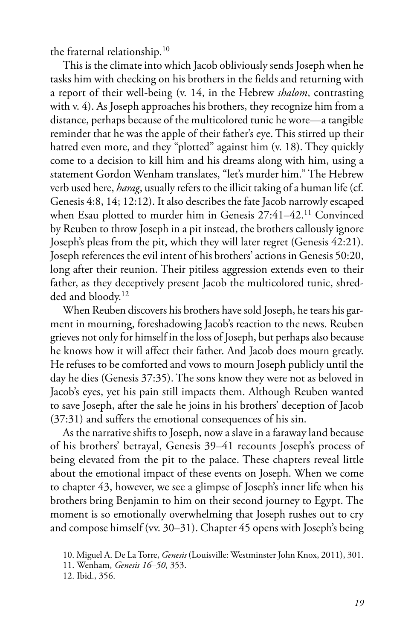the fraternal relationship.10

This is the climate into which Jacob obliviously sends Joseph when he tasks him with checking on his brothers in the fields and returning with a report of their well-being (v. 14, in the Hebrew *shalom*, contrasting with v. 4). As Joseph approaches his brothers, they recognize him from a distance, perhaps because of the multicolored tunic he wore—a tangible reminder that he was the apple of their father's eye. This stirred up their hatred even more, and they "plotted" against him (v. 18). They quickly come to a decision to kill him and his dreams along with him, using a statement Gordon Wenham translates, "let's murder him." The Hebrew verb used here, *harag*, usually refers to the illicit taking of a human life (cf. Genesis 4:8, 14; 12:12). It also describes the fate Jacob narrowly escaped when Esau plotted to murder him in Genesis 27:41–42.11 Convinced by Reuben to throw Joseph in a pit instead, the brothers callously ignore Joseph's pleas from the pit, which they will later regret (Genesis 42:21). Joseph references the evil intent of his brothers' actions in Genesis 50:20, long after their reunion. Their pitiless aggression extends even to their father, as they deceptively present Jacob the multicolored tunic, shredded and bloody.12

When Reuben discovers his brothers have sold Joseph, he tears his garment in mourning, foreshadowing Jacob's reaction to the news. Reuben grieves not only for himself in the loss of Joseph, but perhaps also because he knows how it will affect their father. And Jacob does mourn greatly. He refuses to be comforted and vows to mourn Joseph publicly until the day he dies (Genesis 37:35). The sons know they were not as beloved in Jacob's eyes, yet his pain still impacts them. Although Reuben wanted to save Joseph, after the sale he joins in his brothers' deception of Jacob (37:31) and suffers the emotional consequences of his sin.

As the narrative shifts to Joseph, now a slave in a faraway land because of his brothers' betrayal, Genesis 39–41 recounts Joseph's process of being elevated from the pit to the palace. These chapters reveal little about the emotional impact of these events on Joseph. When we come to chapter 43, however, we see a glimpse of Joseph's inner life when his brothers bring Benjamin to him on their second journey to Egypt. The moment is so emotionally overwhelming that Joseph rushes out to cry and compose himself (vv. 30–31). Chapter 45 opens with Joseph's being

<sup>10.</sup> Miguel A. De La Torre, *Genesis* (Louisville: Westminster John Knox, 2011), 301.

<sup>11.</sup> Wenham, *Genesis 16–50*, 353.

<sup>12.</sup> Ibid., 356.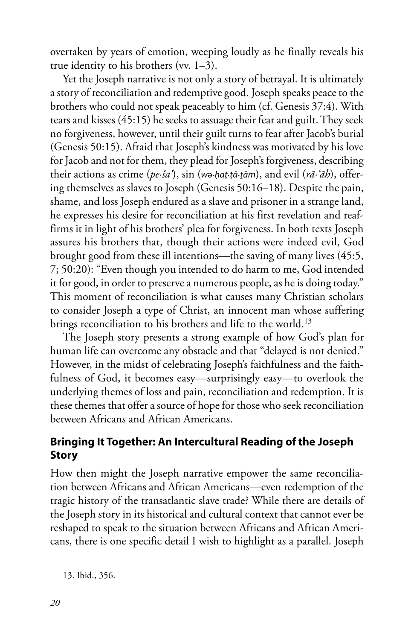overtaken by years of emotion, weeping loudly as he finally reveals his true identity to his brothers (vv. 1–3).

Yet the Joseph narrative is not only a story of betrayal. It is ultimately a story of reconciliation and redemptive good. Joseph speaks peace to the brothers who could not speak peaceably to him (cf. Genesis 37:4). With tears and kisses (45:15) he seeks to assuage their fear and guilt. They seek no forgiveness, however, until their guilt turns to fear after Jacob's burial (Genesis 50:15). Afraid that Joseph's kindness was motivated by his love for Jacob and not for them, they plead for Joseph's forgiveness, describing their actions as crime (*pe·ša'*), sin (*w*ə·*ḥaṭ*·*ṭā*·*ṯām*), and evil (*rā·'āh*), offering themselves as slaves to Joseph (Genesis 50:16–18). Despite the pain, shame, and loss Joseph endured as a slave and prisoner in a strange land, he expresses his desire for reconciliation at his first revelation and reaffirms it in light of his brothers' plea for forgiveness. In both texts Joseph assures his brothers that, though their actions were indeed evil, God brought good from these ill intentions—the saving of many lives (45:5, 7; 50:20): "Even though you intended to do harm to me, God intended it for good, in order to preserve a numerous people, as he is doing today." This moment of reconciliation is what causes many Christian scholars to consider Joseph a type of Christ, an innocent man whose suffering brings reconciliation to his brothers and life to the world.<sup>13</sup>

The Joseph story presents a strong example of how God's plan for human life can overcome any obstacle and that "delayed is not denied." However, in the midst of celebrating Joseph's faithfulness and the faithfulness of God, it becomes easy—surprisingly easy—to overlook the underlying themes of loss and pain, reconciliation and redemption. It is these themes that offer a source of hope for those who seek reconciliation between Africans and African Americans.

## **Bringing It Together: An Intercultural Reading of the Joseph Story**

How then might the Joseph narrative empower the same reconciliation between Africans and African Americans—even redemption of the tragic history of the transatlantic slave trade? While there are details of the Joseph story in its historical and cultural context that cannot ever be reshaped to speak to the situation between Africans and African Americans, there is one specific detail I wish to highlight as a parallel. Joseph

13. Ibid., 356.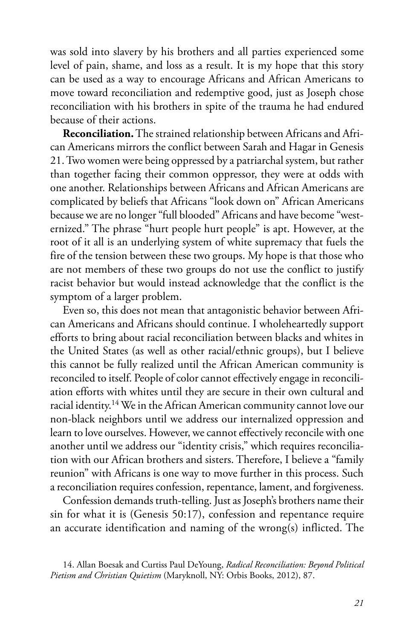was sold into slavery by his brothers and all parties experienced some level of pain, shame, and loss as a result. It is my hope that this story can be used as a way to encourage Africans and African Americans to move toward reconciliation and redemptive good, just as Joseph chose reconciliation with his brothers in spite of the trauma he had endured because of their actions.

**Reconciliation.** The strained relationship between Africans and African Americans mirrors the conflict between Sarah and Hagar in Genesis 21. Two women were being oppressed by a patriarchal system, but rather than together facing their common oppressor, they were at odds with one another. Relationships between Africans and African Americans are complicated by beliefs that Africans "look down on" African Americans because we are no longer "full blooded" Africans and have become "westernized." The phrase "hurt people hurt people" is apt. However, at the root of it all is an underlying system of white supremacy that fuels the fire of the tension between these two groups. My hope is that those who are not members of these two groups do not use the conflict to justify racist behavior but would instead acknowledge that the conflict is the symptom of a larger problem.

Even so, this does not mean that antagonistic behavior between African Americans and Africans should continue. I wholeheartedly support efforts to bring about racial reconciliation between blacks and whites in the United States (as well as other racial/ethnic groups), but I believe this cannot be fully realized until the African American community is reconciled to itself. People of color cannot effectively engage in reconciliation efforts with whites until they are secure in their own cultural and racial identity.14 We in the African American community cannot love our non-black neighbors until we address our internalized oppression and learn to love ourselves. However, we cannot effectively reconcile with one another until we address our "identity crisis," which requires reconciliation with our African brothers and sisters. Therefore, I believe a "family reunion" with Africans is one way to move further in this process. Such a reconciliation requires confession, repentance, lament, and forgiveness.

Confession demands truth-telling. Just as Joseph's brothers name their sin for what it is (Genesis 50:17), confession and repentance require an accurate identification and naming of the wrong(s) inflicted. The

<sup>14.</sup> Allan Boesak and Curtiss Paul DeYoung, *Radical Reconciliation: Beyond Political Pietism and Christian Quietism* (Maryknoll, NY: Orbis Books, 2012), 87.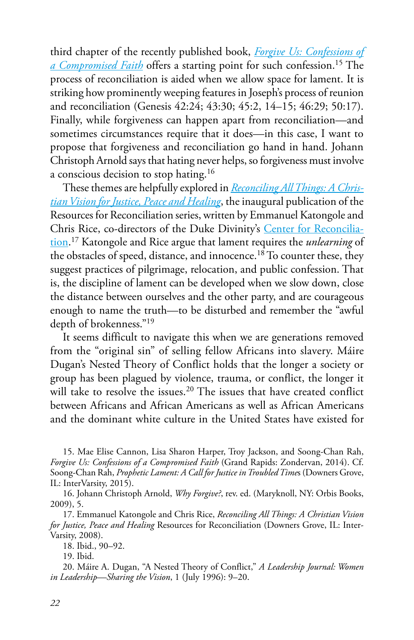third chapter of the recently published book, *[Forgive Us: Confessions of](http://www.zondervan.com/forgive-us)  [a Compromised Faith](http://www.zondervan.com/forgive-us)* offers a starting point for such confession.15 The process of reconciliation is aided when we allow space for lament. It is striking how prominently weeping features in Joseph's process of reunion and reconciliation (Genesis 42:24; 43:30; 45:2, 14–15; 46:29; 50:17). Finally, while forgiveness can happen apart from reconciliation—and sometimes circumstances require that it does—in this case, I want to propose that forgiveness and reconciliation go hand in hand. Johann Christoph Arnold says that hating never helps, so forgiveness must involve a conscious decision to stop hating.16

These themes are helpfully explored in *[Reconciling All Things: A Chris](http://www.ivpress.com/cgi-ivpress/book.pl/code=3451)[tian Vision for Justice, Peace and Healing](http://www.ivpress.com/cgi-ivpress/book.pl/code=3451)*, the inaugural publication of the Resources for Reconciliation series, written by Emmanuel Katongole and Chris Rice, co-directors of the Duke Divinity's [Center for Reconcilia](http://divinity.duke.edu/initiatives-centers/center-reconciliation)[tion](http://divinity.duke.edu/initiatives-centers/center-reconciliation). 17 Katongole and Rice argue that lament requires the *unlearning* of the obstacles of speed, distance, and innocence.<sup>18</sup> To counter these, they suggest practices of pilgrimage, relocation, and public confession. That is, the discipline of lament can be developed when we slow down, close the distance between ourselves and the other party, and are courageous enough to name the truth—to be disturbed and remember the "awful depth of brokenness."19

It seems difficult to navigate this when we are generations removed from the "original sin" of selling fellow Africans into slavery. Máire Dugan's Nested Theory of Conflict holds that the longer a society or group has been plagued by violence, trauma, or conflict, the longer it will take to resolve the issues.<sup>20</sup> The issues that have created conflict between Africans and African Americans as well as African Americans and the dominant white culture in the United States have existed for

15. Mae Elise Cannon, Lisa Sharon Harper, Troy Jackson, and Soong-Chan Rah, *Forgive Us: Confessions of a Compromised Faith* (Grand Rapids: Zondervan, 2014). Cf. Soong-Chan Rah, *Prophetic Lament: A Call for Justice in Troubled Time*s (Downers Grove, IL: InterVarsity, 2015).

16. Johann Christoph Arnold, *Why Forgive?*, rev. ed. (Maryknoll, NY: Orbis Books, 2009), 5.

17. Emmanuel Katongole and Chris Rice, *Reconciling All Things: A Christian Vision for Justice, Peace and Healing* Resources for Reconciliation (Downers Grove, IL: Inter-Varsity, 2008).

18. Ibid., 90–92.

19. Ibid.

20. Máire A. Dugan, "A Nested Theory of Conflict," *A Leadership Journal: Women in Leadership—Sharing the Vision*, 1 (July 1996): 9–20.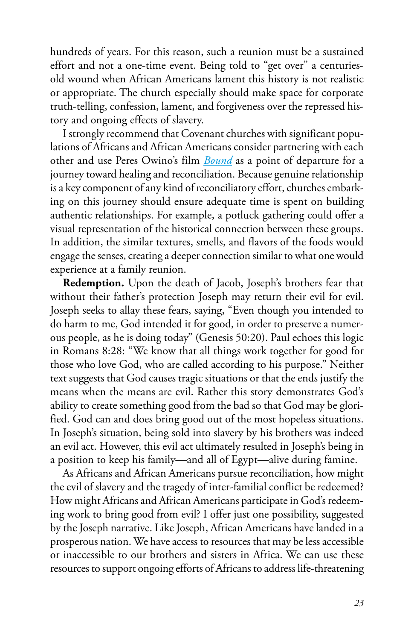hundreds of years. For this reason, such a reunion must be a sustained effort and not a one-time event. Being told to "get over" a centuriesold wound when African Americans lament this history is not realistic or appropriate. The church especially should make space for corporate truth-telling, confession, lament, and forgiveness over the repressed history and ongoing effects of slavery.

I strongly recommend that Covenant churches with significant populations of Africans and African Americans consider partnering with each other and use Peres Owino's film *[Bound](http://www.nyarnam.com/bound-africans-vs-african-americans.html)* as a point of departure for a journey toward healing and reconciliation. Because genuine relationship is a key component of any kind of reconciliatory effort, churches embarking on this journey should ensure adequate time is spent on building authentic relationships. For example, a potluck gathering could offer a visual representation of the historical connection between these groups. In addition, the similar textures, smells, and flavors of the foods would engage the senses, creating a deeper connection similar to what one would experience at a family reunion.

**Redemption.** Upon the death of Jacob, Joseph's brothers fear that without their father's protection Joseph may return their evil for evil. Joseph seeks to allay these fears, saying, "Even though you intended to do harm to me, God intended it for good, in order to preserve a numerous people, as he is doing today" (Genesis 50:20). Paul echoes this logic in Romans 8:28: "We know that all things work together for good for those who love God, who are called according to his purpose." Neither text suggests that God causes tragic situations or that the ends justify the means when the means are evil. Rather this story demonstrates God's ability to create something good from the bad so that God may be glorified. God can and does bring good out of the most hopeless situations. In Joseph's situation, being sold into slavery by his brothers was indeed an evil act. However, this evil act ultimately resulted in Joseph's being in a position to keep his family—and all of Egypt—alive during famine.

As Africans and African Americans pursue reconciliation, how might the evil of slavery and the tragedy of inter-familial conflict be redeemed? How might Africans and African Americans participate in God's redeeming work to bring good from evil? I offer just one possibility, suggested by the Joseph narrative. Like Joseph, African Americans have landed in a prosperous nation. We have access to resources that may be less accessible or inaccessible to our brothers and sisters in Africa. We can use these resources to support ongoing efforts of Africans to address life-threatening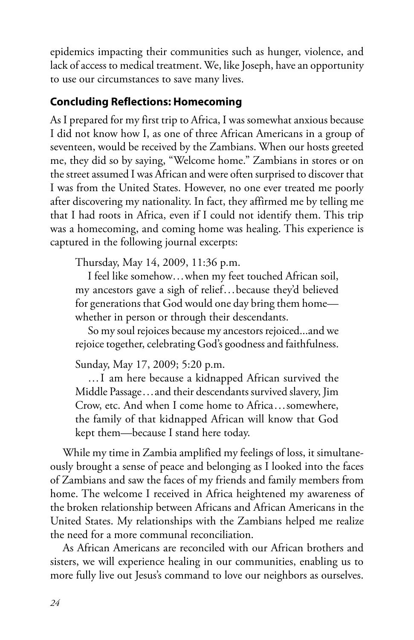epidemics impacting their communities such as hunger, violence, and lack of access to medical treatment. We, like Joseph, have an opportunity to use our circumstances to save many lives.

### **Concluding Reflections: Homecoming**

As I prepared for my first trip to Africa, I was somewhat anxious because I did not know how I, as one of three African Americans in a group of seventeen, would be received by the Zambians. When our hosts greeted me, they did so by saying, "Welcome home." Zambians in stores or on the street assumed I was African and were often surprised to discover that I was from the United States. However, no one ever treated me poorly after discovering my nationality. In fact, they affirmed me by telling me that I had roots in Africa, even if I could not identify them. This trip was a homecoming, and coming home was healing. This experience is captured in the following journal excerpts:

Thursday, May 14, 2009, 11:36 p.m.

I feel like somehow...when my feet touched African soil, my ancestors gave a sigh of relief...because they'd believed for generations that God would one day bring them home whether in person or through their descendants.

So my soul rejoices because my ancestors rejoiced...and we rejoice together, celebrating God's goodness and faithfulness.

Sunday, May 17, 2009; 5:20 p.m.

…I am here because a kidnapped African survived the Middle Passage...and their descendants survived slavery, Jim Crow, etc. And when I come home to Africa...somewhere, the family of that kidnapped African will know that God kept them—because I stand here today.

While my time in Zambia amplified my feelings of loss, it simultaneously brought a sense of peace and belonging as I looked into the faces of Zambians and saw the faces of my friends and family members from home. The welcome I received in Africa heightened my awareness of the broken relationship between Africans and African Americans in the United States. My relationships with the Zambians helped me realize the need for a more communal reconciliation.

As African Americans are reconciled with our African brothers and sisters, we will experience healing in our communities, enabling us to more fully live out Jesus's command to love our neighbors as ourselves.